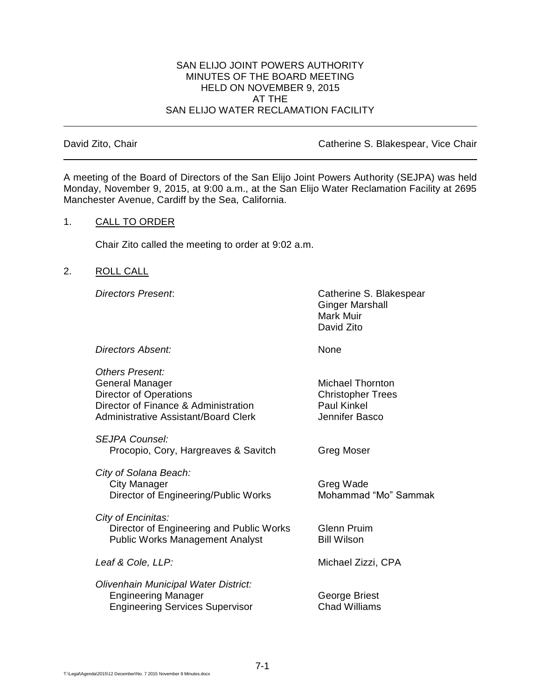#### SAN ELIJO JOINT POWERS AUTHORITY MINUTES OF THE BOARD MEETING HELD ON NOVEMBER 9, 2015 AT THE SAN ELIJO WATER RECLAMATION FACILITY

David Zito, Chair **Catherine S. Blakespear, Vice Chair** Catherine S. Blakespear, Vice Chair

A meeting of the Board of Directors of the San Elijo Joint Powers Authority (SEJPA) was held Monday, November 9, 2015, at 9:00 a.m., at the San Elijo Water Reclamation Facility at 2695 Manchester Avenue, Cardiff by the Sea, California.

## 1. CALL TO ORDER

Chair Zito called the meeting to order at 9:02 a.m.

## 2. ROLL CALL

*Directors Present*: Catherine S. Blakespear Ginger Marshall Mark Muir David Zito

**Directors Absent:** None

*Others Present:* General Manager **Michael Thornton** Director of Operations<br>
Director of Finance & Administration<br>
Director of Finance & Administration<br>
Daul Kinkel Director of Finance & Administration Administrative Assistant/Board Clerk **Jennifer Basco** 

*SEJPA Counsel:* Procopio, Cory, Hargreaves & Savitch Greg Moser

*City of Solana Beach:* City Manager Greg Wade Director of Engineering/Public Works Mohammad "Mo" Sammak

*City of Encinitas:* Director of Engineering and Public Works Glenn Pruim Public Works Management Analyst Bill Wilson

*Olivenhain Municipal Water District:* Engineering Manager George Briest Engineering Services Supervisor Chad Williams

*Leaf & Cole, LLP:* Michael Zizzi, CPA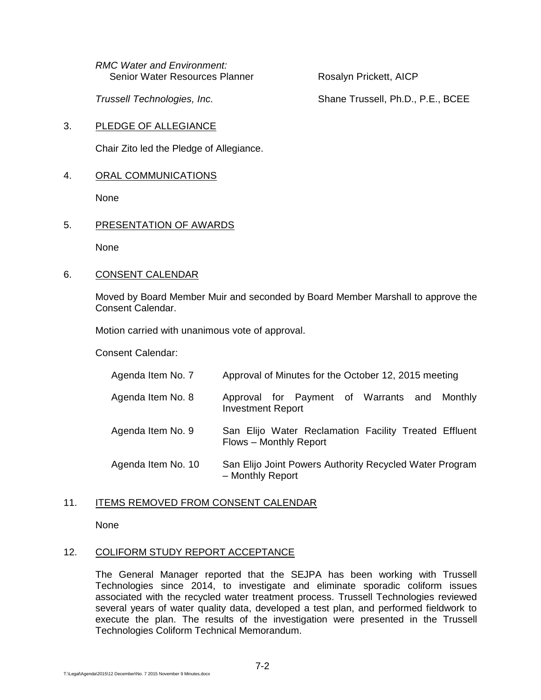*RMC Water and Environment:* Senior Water Resources Planner Rosalyn Prickett, AICP

*Trussell Technologies, Inc.* Shane Trussell, Ph.D., P.E., BCEE

3. PLEDGE OF ALLEGIANCE

Chair Zito led the Pledge of Allegiance.

4. ORAL COMMUNICATIONS

None

5. PRESENTATION OF AWARDS

None

6. CONSENT CALENDAR

Moved by Board Member Muir and seconded by Board Member Marshall to approve the Consent Calendar.

Motion carried with unanimous vote of approval.

Consent Calendar:

| Agenda Item No. 7  | Approval of Minutes for the October 12, 2015 meeting                            |
|--------------------|---------------------------------------------------------------------------------|
| Agenda Item No. 8  | Approval for Payment of Warrants and Monthly<br><b>Investment Report</b>        |
| Agenda Item No. 9  | San Elijo Water Reclamation Facility Treated Effluent<br>Flows - Monthly Report |
| Agenda Item No. 10 | San Elijo Joint Powers Authority Recycled Water Program<br>- Monthly Report     |

## 11. ITEMS REMOVED FROM CONSENT CALENDAR

None

# 12. COLIFORM STUDY REPORT ACCEPTANCE

The General Manager reported that the SEJPA has been working with Trussell Technologies since 2014, to investigate and eliminate sporadic coliform issues associated with the recycled water treatment process. Trussell Technologies reviewed several years of water quality data, developed a test plan, and performed fieldwork to execute the plan. The results of the investigation were presented in the Trussell Technologies Coliform Technical Memorandum.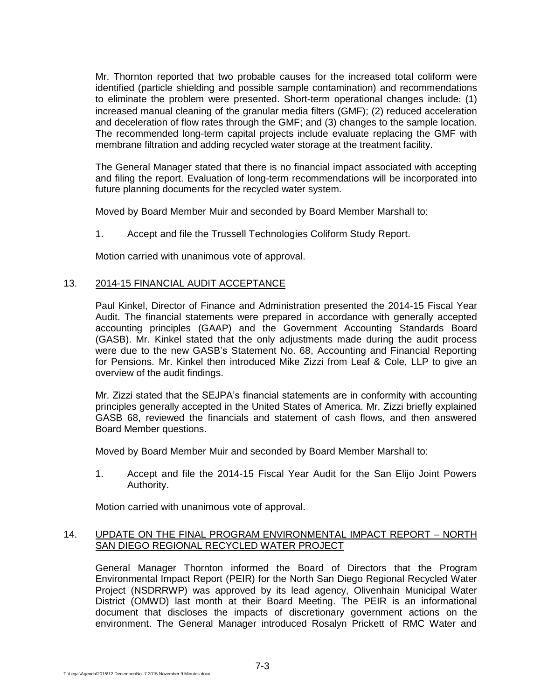Mr. Thornton reported that two probable causes for the increased total coliform were identified (particle shielding and possible sample contamination) and recommendations to eliminate the problem were presented. Short-term operational changes include: (1) increased manual cleaning of the granular media filters (GMF); (2) reduced acceleration and deceleration of flow rates through the GMF; and (3) changes to the sample location. The recommended long-term capital projects include evaluate replacing the GMF with membrane filtration and adding recycled water storage at the treatment facility.

The General Manager stated that there is no financial impact associated with accepting and filing the report. Evaluation of long-term recommendations will be incorporated into future planning documents for the recycled water system.

Moved by Board Member Muir and seconded by Board Member Marshall to:

1. Accept and file the Trussell Technologies Coliform Study Report.

Motion carried with unanimous vote of approval.

### 13. 2014-15 FINANCIAL AUDIT ACCEPTANCE

Paul Kinkel, Director of Finance and Administration presented the 2014-15 Fiscal Year Audit. The financial statements were prepared in accordance with generally accepted accounting principles (GAAP) and the Government Accounting Standards Board (GASB). Mr. Kinkel stated that the only adjustments made during the audit process were due to the new GASB's Statement No. 68, Accounting and Financial Reporting for Pensions. Mr. Kinkel then introduced Mike Zizzi from Leaf & Cole, LLP to give an overview of the audit findings.

Mr. Zizzi stated that the SEJPA's financial statements are in conformity with accounting principles generally accepted in the United States of America. Mr. Zizzi briefly explained GASB 68, reviewed the financials and statement of cash flows, and then answered Board Member questions.

Moved by Board Member Muir and seconded by Board Member Marshall to:

1. Accept and file the 2014-15 Fiscal Year Audit for the San Elijo Joint Powers Authority.

Motion carried with unanimous vote of approval.

### 14. UPDATE ON THE FINAL PROGRAM ENVIRONMENTAL IMPACT REPORT – NORTH SAN DIEGO REGIONAL RECYCLED WATER PROJECT

General Manager Thornton informed the Board of Directors that the Program Environmental Impact Report (PEIR) for the North San Diego Regional Recycled Water Project (NSDRRWP) was approved by its lead agency, Olivenhain Municipal Water District (OMWD) last month at their Board Meeting. The PEIR is an informational document that discloses the impacts of discretionary government actions on the environment. The General Manager introduced Rosalyn Prickett of RMC Water and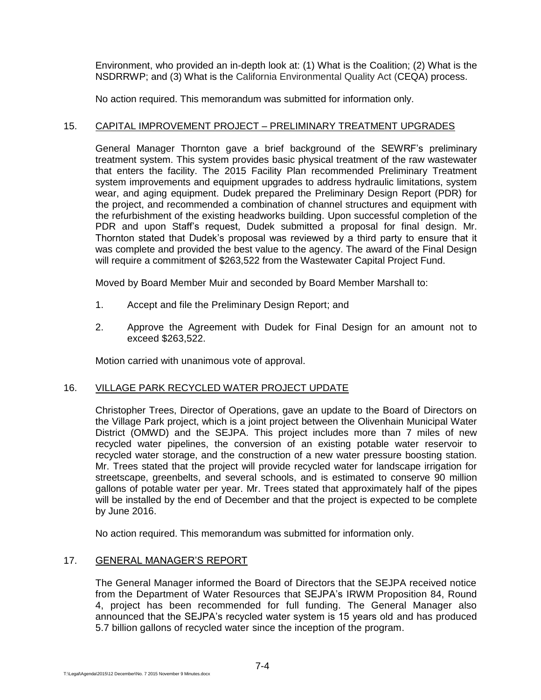Environment, who provided an in-depth look at: (1) What is the Coalition; (2) What is the NSDRRWP; and (3) What is the California Environmental Quality Act (CEQA) process.

No action required. This memorandum was submitted for information only.

## 15. CAPITAL IMPROVEMENT PROJECT – PRELIMINARY TREATMENT UPGRADES

General Manager Thornton gave a brief background of the SEWRF's preliminary treatment system. This system provides basic physical treatment of the raw wastewater that enters the facility. The 2015 Facility Plan recommended Preliminary Treatment system improvements and equipment upgrades to address hydraulic limitations, system wear, and aging equipment. Dudek prepared the Preliminary Design Report (PDR) for the project, and recommended a combination of channel structures and equipment with the refurbishment of the existing headworks building. Upon successful completion of the PDR and upon Staff's request, Dudek submitted a proposal for final design. Mr. Thornton stated that Dudek's proposal was reviewed by a third party to ensure that it was complete and provided the best value to the agency. The award of the Final Design will require a commitment of \$263,522 from the Wastewater Capital Project Fund.

Moved by Board Member Muir and seconded by Board Member Marshall to:

- 1. Accept and file the Preliminary Design Report; and
- 2. Approve the Agreement with Dudek for Final Design for an amount not to exceed \$263,522.

Motion carried with unanimous vote of approval.

## 16. VILLAGE PARK RECYCLED WATER PROJECT UPDATE

Christopher Trees, Director of Operations, gave an update to the Board of Directors on the Village Park project, which is a joint project between the Olivenhain Municipal Water District (OMWD) and the SEJPA. This project includes more than 7 miles of new recycled water pipelines, the conversion of an existing potable water reservoir to recycled water storage, and the construction of a new water pressure boosting station. Mr. Trees stated that the project will provide recycled water for landscape irrigation for streetscape, greenbelts, and several schools, and is estimated to conserve 90 million gallons of potable water per year. Mr. Trees stated that approximately half of the pipes will be installed by the end of December and that the project is expected to be complete by June 2016.

No action required. This memorandum was submitted for information only.

## 17. GENERAL MANAGER'S REPORT

The General Manager informed the Board of Directors that the SEJPA received notice from the Department of Water Resources that SEJPA's IRWM Proposition 84, Round 4, project has been recommended for full funding. The General Manager also announced that the SEJPA's recycled water system is 15 years old and has produced 5.7 billion gallons of recycled water since the inception of the program.